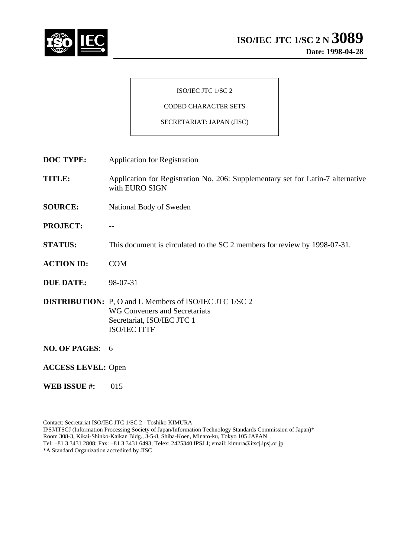

#### ISO/IEC JTC 1/SC 2

# CODED CHARACTER SETS

#### SECRETARIAT: JAPAN (JISC)

**DOC TYPE:** Application for Registration

**TITLE:** Application for Registration No. 206: Supplementary set for Latin-7 alternative with EURO SIGN

- **SOURCE:** National Body of Sweden
- **PROJECT:** --
- **STATUS:** This document is circulated to the SC 2 members for review by 1998-07-31.
- **ACTION ID:** COM
- **DUE DATE:** 98-07-31
- **DISTRIBUTION:** P, O and L Members of ISO/IEC JTC 1/SC 2 WG Conveners and Secretariats Secretariat, ISO/IEC JTC 1 ISO/IEC ITTF
- **NO. OF PAGES**: 6
- **ACCESS LEVEL:** Open
- **WEB ISSUE #:** 015

Contact: Secretariat ISO/IEC JTC 1/SC 2 - Toshiko KIMURA IPSJ/ITSCJ (Information Processing Society of Japan/Information Technology Standards Commission of Japan)\* Room 308-3, Kikai-Shinko-Kaikan Bldg., 3-5-8, Shiba-Koen, Minato-ku, Tokyo 105 JAPAN Tel: +81 3 3431 2808; Fax: +81 3 3431 6493; Telex: 2425340 IPSJ J; email: kimura@itscj.ipsj.or.jp \*A Standard Organization accredited by JISC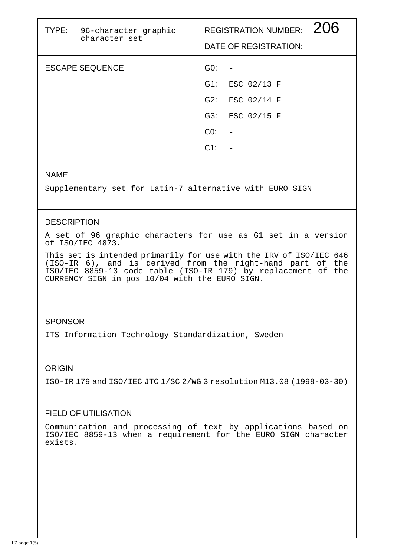| TYPE: 96-character graphic<br>character set |        | 206<br><b>REGISTRATION NUMBER:</b><br>DATE OF REGISTRATION: |
|---------------------------------------------|--------|-------------------------------------------------------------|
| <b>ESCAPE SEQUENCE</b>                      | GO:    |                                                             |
|                                             | G1:    | ESC 02/13 F                                                 |
|                                             | G2:    | ESC 02/14 F                                                 |
|                                             | G3:    | ESC 02/15 F                                                 |
|                                             | CO:    |                                                             |
|                                             | $C1$ : |                                                             |
|                                             |        |                                                             |

## NAME

Supplementary set for Latin-7 alternative with EURO SIGN

## **DESCRIPTION**

A set of 96 graphic characters for use as G1 set in a version of ISO/IEC 4873.

This set is intended primarily for use with the IRV of ISO/IEC 646 (ISO-IR 6), and is derived from the right-hand part of the ISO/IEC 8859-13 code table (ISO-IR 179) by replacement of the CURRENCY SIGN in pos 10/04 with the EURO SIGN.

## **SPONSOR**

ITS Information Technology Standardization, Sweden

## ORIGIN

ISO-IR 179 and ISO/IEC JTC 1/SC 2/WG 3 resolution M13.08 (1998-03-30)

## FIELD OF UTILISATION

Communication and processing of text by applications based on ISO/IEC 8859-13 when a requirement for the EURO SIGN character exists.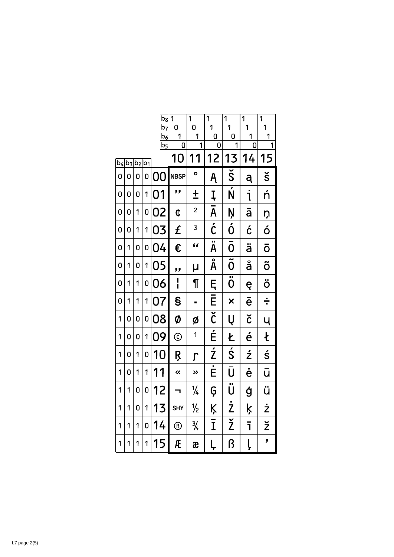|         |   |               |   | $b_8$                             | 1              | $\overline{1}$      | 1                                 | 1                                 | $\overline{1}$                   | $\overline{1}$                   |
|---------|---|---------------|---|-----------------------------------|----------------|---------------------|-----------------------------------|-----------------------------------|----------------------------------|----------------------------------|
|         |   |               |   | $\overline{b_7}$<br>$\mathsf b_6$ | n<br>1         | 0<br>$\overline{1}$ | $\overline{1}$<br>0               | $\overline{1}$<br>0               | $\overline{1}$<br>$\overline{1}$ | $\overline{1}$<br>$\overline{1}$ |
|         |   |               |   | $\overline{b_5}$                  | 0              | $\overline{1}$      | 0                                 | 1                                 | 0                                | 1                                |
| $ b_4 $ |   | $b_3 b_2 b_1$ |   |                                   | 10             | 11                  | 12                                | 13                                | 14                               | 15                               |
| 0       | 0 | 0             | 0 | 0<br>N                            | <b>NBSP</b>    | $\bullet$           | Ą                                 | $\overline{\check{\mathsf{S}}}$   | ą                                | š                                |
| 0       | 0 | 0             | 1 | 01                                | "              | $\pm$               | Į                                 | $\overline{\acute{\text{\bf N}}}$ | j                                | ń                                |
| 0       | 0 | 1             | 0 | 02                                | ¢              | $\overline{c}$      | A                                 | Ņ                                 | ā                                | ņ                                |
| 0       | 0 | 1             | 1 | 03                                | £              | 3                   | $\overline{\acute{C}}$            | Ó                                 | ć                                | ó                                |
| 0       | 1 | 0             | 0 | 04                                | €              | "                   | $\overline{\ddot{\mathsf{A}}}$    | Ō                                 | ä                                | ō                                |
| 0       | 1 | 0             | 1 | 05                                | "              | μ                   | Å                                 | $\overline{\tilde{0}}$            | å                                | õ                                |
| 0       | 1 | 1             | 0 | 06                                | ¦              | $\P$                | Ę                                 | $\overline{\ddot{\textbf{0}}}$    | ę                                | ö                                |
| 0       | 1 | 1             | 1 | 07                                | S              | Ξ                   | E                                 | ×                                 | $\bar{\mathbf{e}}$               | ÷                                |
| 1       | 0 | 0             | 0 | 08                                | Ø              | Ø                   | $\overline{\check{\mathfrak{c}}}$ | Ų                                 | č                                | Ų                                |
| 1       | 0 | 0             | 1 | 09                                | $\odot$        | 1                   | É                                 | Ł                                 | é                                | Ł                                |
| 1       | 0 | 1             | 0 | 10                                | Ŗ              | $\overline{\Gamma}$ | $\overline{z}$                    | Ś                                 | ź                                | ś                                |
| 1       | 0 | 1             | 1 | 11                                | ≪              | »                   | Ė                                 | Ū                                 | ė                                | ū                                |
| 1       | 1 | 0             | 0 | 12                                |                | $\frac{1}{4}$       | Ģ                                 | $\overline{\ddot{\textsf{U}}}$    | ģ                                | ü                                |
| 1       | 1 | 0             | 1 | 13                                | <b>SHY</b>     | ⅛                   | Ķ                                 | $\overline{\dot{Z}}$              | ķ                                | $\dot{\mathsf{z}}$               |
| 1       | 1 | 1             | 0 | 14                                | $^{\circledR}$ | $\frac{3}{4}$       | Ī                                 | $\overline{\check{\mathsf{Z}}}$   | ī                                | ž                                |
| 1       | 1 | 1             | 1 | 15                                | Æ              | æ                   | Ļ                                 | ß                                 | Ļ                                | ,                                |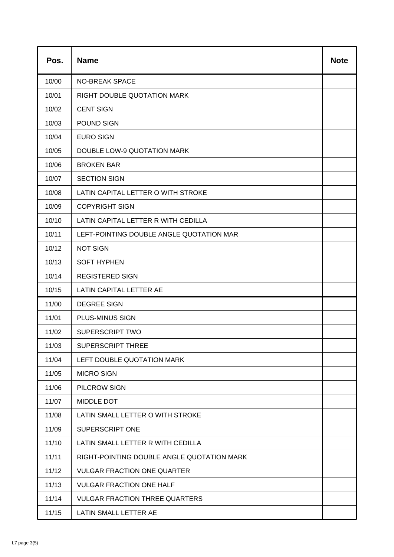| Pos.  | <b>Name</b>                                | <b>Note</b> |
|-------|--------------------------------------------|-------------|
| 10/00 | <b>NO-BREAK SPACE</b>                      |             |
| 10/01 | <b>RIGHT DOUBLE QUOTATION MARK</b>         |             |
| 10/02 | <b>CENT SIGN</b>                           |             |
| 10/03 | POUND SIGN                                 |             |
| 10/04 | <b>EURO SIGN</b>                           |             |
| 10/05 | <b>DOUBLE LOW-9 QUOTATION MARK</b>         |             |
| 10/06 | <b>BROKEN BAR</b>                          |             |
| 10/07 | <b>SECTION SIGN</b>                        |             |
| 10/08 | LATIN CAPITAL LETTER O WITH STROKE         |             |
| 10/09 | <b>COPYRIGHT SIGN</b>                      |             |
| 10/10 | LATIN CAPITAL LETTER R WITH CEDILLA        |             |
| 10/11 | LEFT-POINTING DOUBLE ANGLE QUOTATION MAR   |             |
| 10/12 | <b>NOT SIGN</b>                            |             |
| 10/13 | <b>SOFT HYPHEN</b>                         |             |
| 10/14 | <b>REGISTERED SIGN</b>                     |             |
| 10/15 | LATIN CAPITAL LETTER AE                    |             |
| 11/00 | <b>DEGREE SIGN</b>                         |             |
| 11/01 | PLUS-MINUS SIGN                            |             |
| 11/02 | <b>SUPERSCRIPT TWO</b>                     |             |
| 11/03 | <b>SUPERSCRIPT THREE</b>                   |             |
| 11/04 | LEFT DOUBLE QUOTATION MARK                 |             |
| 11/05 | <b>MICRO SIGN</b>                          |             |
| 11/06 | PILCROW SIGN                               |             |
| 11/07 | MIDDLE DOT                                 |             |
| 11/08 | LATIN SMALL LETTER O WITH STROKE           |             |
| 11/09 | <b>SUPERSCRIPT ONE</b>                     |             |
| 11/10 | LATIN SMALL LETTER R WITH CEDILLA          |             |
| 11/11 | RIGHT-POINTING DOUBLE ANGLE QUOTATION MARK |             |
| 11/12 | <b>VULGAR FRACTION ONE QUARTER</b>         |             |
| 11/13 | <b>VULGAR FRACTION ONE HALF</b>            |             |
| 11/14 | <b>VULGAR FRACTION THREE QUARTERS</b>      |             |
| 11/15 | LATIN SMALL LETTER AE                      |             |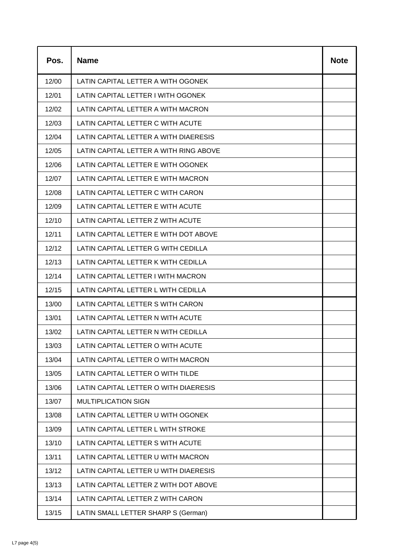| Pos.  | <b>Name</b>                            | <b>Note</b> |
|-------|----------------------------------------|-------------|
| 12/00 | LATIN CAPITAL LETTER A WITH OGONEK     |             |
| 12/01 | LATIN CAPITAL LETTER I WITH OGONEK     |             |
| 12/02 | LATIN CAPITAL LETTER A WITH MACRON     |             |
| 12/03 | LATIN CAPITAL LETTER C WITH ACUTE      |             |
| 12/04 | LATIN CAPITAL LETTER A WITH DIAERESIS  |             |
| 12/05 | LATIN CAPITAL LETTER A WITH RING ABOVE |             |
| 12/06 | LATIN CAPITAL LETTER E WITH OGONEK     |             |
| 12/07 | LATIN CAPITAL LETTER E WITH MACRON     |             |
| 12/08 | LATIN CAPITAL LETTER C WITH CARON      |             |
| 12/09 | LATIN CAPITAL LETTER E WITH ACUTE      |             |
| 12/10 | LATIN CAPITAL LETTER Z WITH ACUTE      |             |
| 12/11 | LATIN CAPITAL LETTER E WITH DOT ABOVE  |             |
| 12/12 | LATIN CAPITAL LETTER G WITH CEDILLA    |             |
| 12/13 | LATIN CAPITAL LETTER K WITH CEDILLA    |             |
| 12/14 | LATIN CAPITAL LETTER I WITH MACRON     |             |
| 12/15 | LATIN CAPITAL LETTER L WITH CEDILLA    |             |
| 13/00 | LATIN CAPITAL LETTER S WITH CARON      |             |
| 13/01 | LATIN CAPITAL LETTER N WITH ACUTE      |             |
| 13/02 | LATIN CAPITAL LETTER N WITH CEDILLA    |             |
| 13/03 | LATIN CAPITAL LETTER O WITH ACUTE      |             |
| 13/04 | LATIN CAPITAL LETTER O WITH MACRON     |             |
| 13/05 | LATIN CAPITAL LETTER O WITH TILDE      |             |
| 13/06 | LATIN CAPITAL LETTER O WITH DIAERESIS  |             |
| 13/07 | <b>MULTIPLICATION SIGN</b>             |             |
| 13/08 | LATIN CAPITAL LETTER U WITH OGONEK     |             |
| 13/09 | LATIN CAPITAL LETTER L WITH STROKE     |             |
| 13/10 | LATIN CAPITAL LETTER S WITH ACUTE      |             |
| 13/11 | LATIN CAPITAL LETTER U WITH MACRON     |             |
| 13/12 | LATIN CAPITAL LETTER U WITH DIAERESIS  |             |
| 13/13 | LATIN CAPITAL LETTER Z WITH DOT ABOVE  |             |
| 13/14 | LATIN CAPITAL LETTER Z WITH CARON      |             |
| 13/15 | LATIN SMALL LETTER SHARP S (German)    |             |